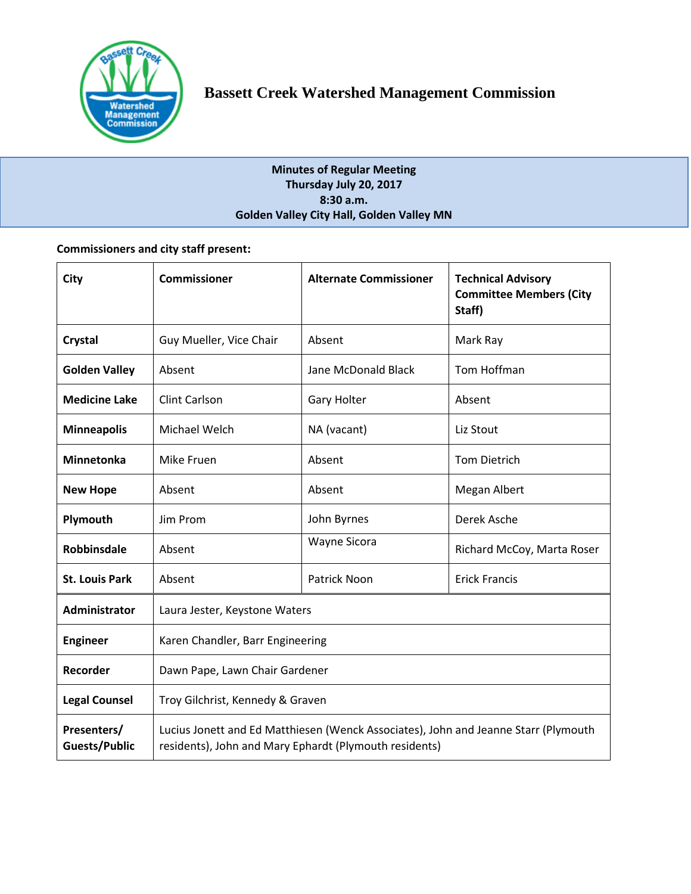

# **Minutes of Regular Meeting Thursday July 20, 2017 8:30 a.m. Golden Valley City Hall, Golden Valley MN**

# **Commissioners and city staff present:**

| City                         | <b>Commissioner</b>                                                                                                                           | <b>Alternate Commissioner</b> | <b>Technical Advisory</b><br><b>Committee Members (City</b><br>Staff) |
|------------------------------|-----------------------------------------------------------------------------------------------------------------------------------------------|-------------------------------|-----------------------------------------------------------------------|
| Crystal                      | Guy Mueller, Vice Chair                                                                                                                       | Absent                        | Mark Ray                                                              |
| <b>Golden Valley</b>         | Absent                                                                                                                                        | Jane McDonald Black           | Tom Hoffman                                                           |
| <b>Medicine Lake</b>         | <b>Clint Carlson</b>                                                                                                                          | Gary Holter                   | Absent                                                                |
| <b>Minneapolis</b>           | Michael Welch                                                                                                                                 | NA (vacant)                   | Liz Stout                                                             |
| <b>Minnetonka</b>            | Mike Fruen                                                                                                                                    | Absent                        | <b>Tom Dietrich</b>                                                   |
| <b>New Hope</b>              | Absent                                                                                                                                        | Absent                        | Megan Albert                                                          |
| Plymouth                     | Jim Prom                                                                                                                                      | John Byrnes                   | Derek Asche                                                           |
| Robbinsdale                  | Absent                                                                                                                                        | <b>Wayne Sicora</b>           | Richard McCoy, Marta Roser                                            |
| <b>St. Louis Park</b>        | Absent                                                                                                                                        | <b>Patrick Noon</b>           | <b>Erick Francis</b>                                                  |
| <b>Administrator</b>         | Laura Jester, Keystone Waters                                                                                                                 |                               |                                                                       |
| <b>Engineer</b>              | Karen Chandler, Barr Engineering                                                                                                              |                               |                                                                       |
| Recorder                     | Dawn Pape, Lawn Chair Gardener                                                                                                                |                               |                                                                       |
| <b>Legal Counsel</b>         | Troy Gilchrist, Kennedy & Graven                                                                                                              |                               |                                                                       |
| Presenters/<br>Guests/Public | Lucius Jonett and Ed Matthiesen (Wenck Associates), John and Jeanne Starr (Plymouth<br>residents), John and Mary Ephardt (Plymouth residents) |                               |                                                                       |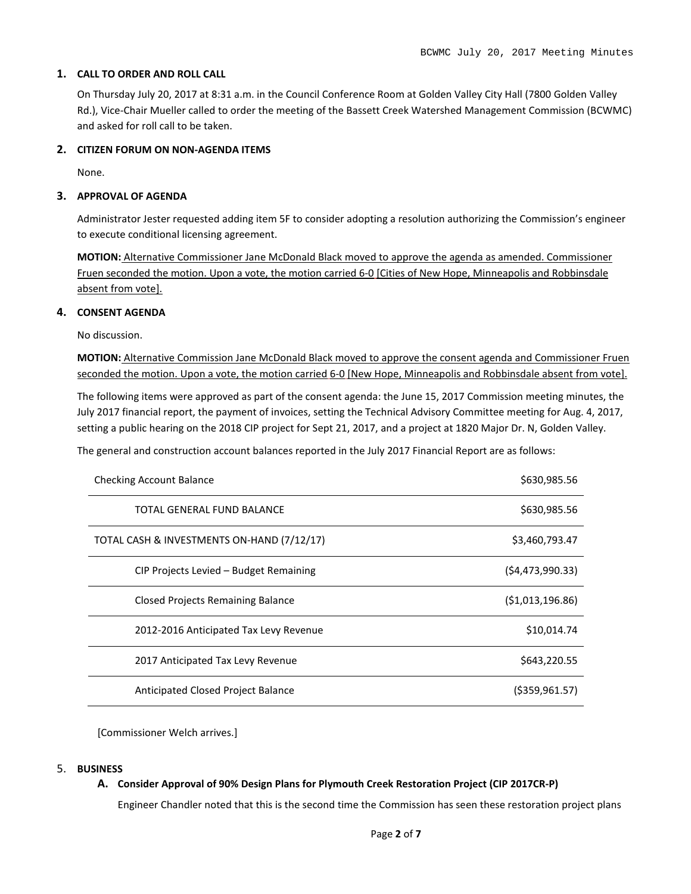#### **1. CALL TO ORDER AND ROLL CALL**

On Thursday July 20, 2017 at 8:31 a.m. in the Council Conference Room at Golden Valley City Hall (7800 Golden Valley Rd.), Vice-Chair Mueller called to order the meeting of the Bassett Creek Watershed Management Commission (BCWMC) and asked for roll call to be taken.

## **2. CITIZEN FORUM ON NON-AGENDA ITEMS**

None.

### **3. APPROVAL OF AGENDA**

Administrator Jester requested adding item 5F to consider adopting a resolution authorizing the Commission's engineer to execute conditional licensing agreement.

**MOTION:** Alternative Commissioner Jane McDonald Black moved to approve the agenda as amended. Commissioner Fruen seconded the motion. Upon a vote, the motion carried 6-0 [Cities of New Hope, Minneapolis and Robbinsdale absent from vote].

#### **4. CONSENT AGENDA**

No discussion.

**MOTION:** Alternative Commission Jane McDonald Black moved to approve the consent agenda and Commissioner Fruen seconded the motion. Upon a vote, the motion carried 6-0 [New Hope, Minneapolis and Robbinsdale absent from vote].

The following items were approved as part of the consent agenda: the June 15, 2017 Commission meeting minutes, the July 2017 financial report, the payment of invoices, setting the Technical Advisory Committee meeting for Aug. 4, 2017, setting a public hearing on the 2018 CIP project for Sept 21, 2017, and a project at 1820 Major Dr. N, Golden Valley.

The general and construction account balances reported in the July 2017 Financial Report are as follows:

| <b>Checking Account Balance</b>            | \$630,985.56      |
|--------------------------------------------|-------------------|
| <b>TOTAL GENERAL FUND BALANCE</b>          | \$630,985.56      |
| TOTAL CASH & INVESTMENTS ON-HAND (7/12/17) | \$3,460,793.47    |
| CIP Projects Levied - Budget Remaining     | (54, 473, 990.33) |
| <b>Closed Projects Remaining Balance</b>   | (51,013,196.86)   |
| 2012-2016 Anticipated Tax Levy Revenue     | \$10,014.74       |
| 2017 Anticipated Tax Levy Revenue          | \$643,220.55      |
| Anticipated Closed Project Balance         | ( \$359, 961.57)  |

[Commissioner Welch arrives.]

#### 5. **BUSINESS**

## **A. Consider Approval of 90% Design Plans for Plymouth Creek Restoration Project (CIP 2017CR-P)**

Engineer Chandler noted that this is the second time the Commission has seen these restoration project plans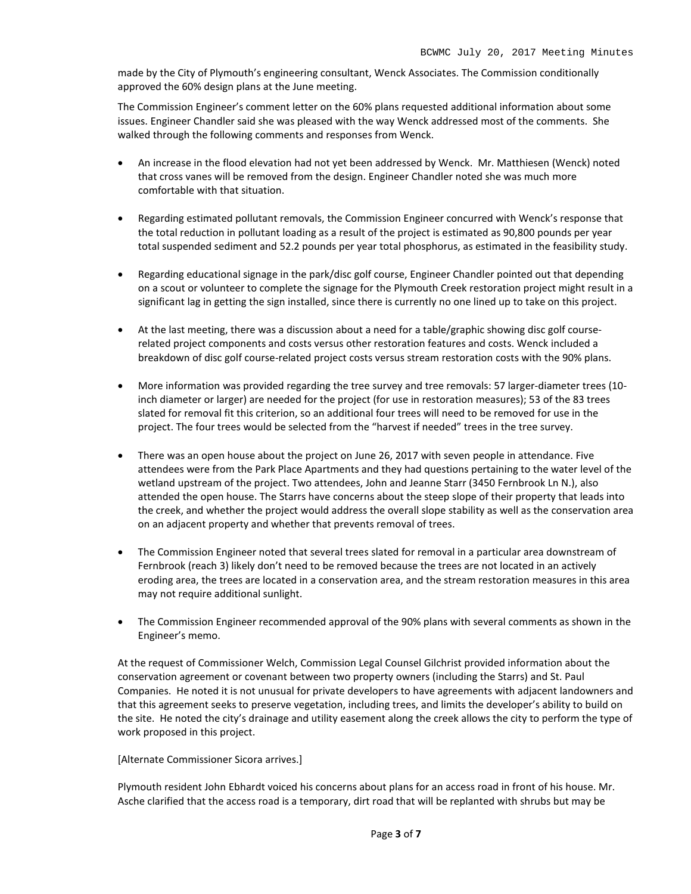made by the City of Plymouth's engineering consultant, Wenck Associates. The Commission conditionally approved the 60% design plans at the June meeting.

The Commission Engineer's comment letter on the 60% plans requested additional information about some issues. Engineer Chandler said she was pleased with the way Wenck addressed most of the comments. She walked through the following comments and responses from Wenck.

- An increase in the flood elevation had not yet been addressed by Wenck. Mr. Matthiesen (Wenck) noted that cross vanes will be removed from the design. Engineer Chandler noted she was much more comfortable with that situation.
- Regarding estimated pollutant removals, the Commission Engineer concurred with Wenck's response that the total reduction in pollutant loading as a result of the project is estimated as 90,800 pounds per year total suspended sediment and 52.2 pounds per year total phosphorus, as estimated in the feasibility study.
- Regarding educational signage in the park/disc golf course, Engineer Chandler pointed out that depending on a scout or volunteer to complete the signage for the Plymouth Creek restoration project might result in a significant lag in getting the sign installed, since there is currently no one lined up to take on this project.
- At the last meeting, there was a discussion about a need for a table/graphic showing disc golf courserelated project components and costs versus other restoration features and costs. Wenck included a breakdown of disc golf course-related project costs versus stream restoration costs with the 90% plans.
- More information was provided regarding the tree survey and tree removals: 57 larger-diameter trees (10 inch diameter or larger) are needed for the project (for use in restoration measures); 53 of the 83 trees slated for removal fit this criterion, so an additional four trees will need to be removed for use in the project. The four trees would be selected from the "harvest if needed" trees in the tree survey.
- There was an open house about the project on June 26, 2017 with seven people in attendance. Five attendees were from the Park Place Apartments and they had questions pertaining to the water level of the wetland upstream of the project. Two attendees, John and Jeanne Starr (3450 Fernbrook Ln N.), also attended the open house. The Starrs have concerns about the steep slope of their property that leads into the creek, and whether the project would address the overall slope stability as well as the conservation area on an adjacent property and whether that prevents removal of trees.
- The Commission Engineer noted that several trees slated for removal in a particular area downstream of Fernbrook (reach 3) likely don't need to be removed because the trees are not located in an actively eroding area, the trees are located in a conservation area, and the stream restoration measures in this area may not require additional sunlight.
- The Commission Engineer recommended approval of the 90% plans with several comments as shown in the Engineer's memo.

At the request of Commissioner Welch, Commission Legal Counsel Gilchrist provided information about the conservation agreement or covenant between two property owners (including the Starrs) and St. Paul Companies. He noted it is not unusual for private developers to have agreements with adjacent landowners and that this agreement seeks to preserve vegetation, including trees, and limits the developer's ability to build on the site. He noted the city's drainage and utility easement along the creek allows the city to perform the type of work proposed in this project.

#### [Alternate Commissioner Sicora arrives.]

Plymouth resident John Ebhardt voiced his concerns about plans for an access road in front of his house. Mr. Asche clarified that the access road is a temporary, dirt road that will be replanted with shrubs but may be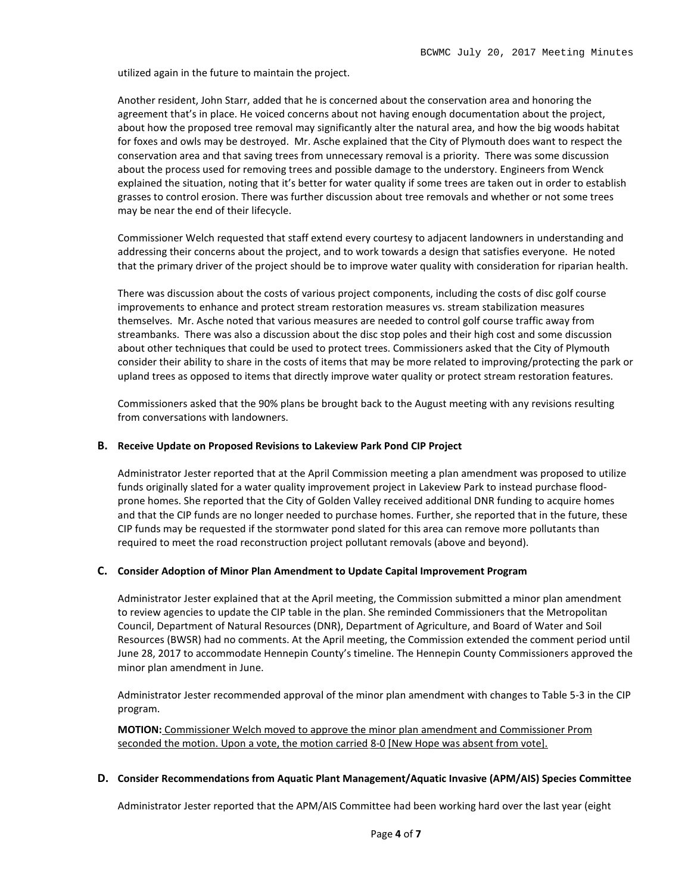utilized again in the future to maintain the project.

Another resident, John Starr, added that he is concerned about the conservation area and honoring the agreement that's in place. He voiced concerns about not having enough documentation about the project, about how the proposed tree removal may significantly alter the natural area, and how the big woods habitat for foxes and owls may be destroyed. Mr. Asche explained that the City of Plymouth does want to respect the conservation area and that saving trees from unnecessary removal is a priority. There was some discussion about the process used for removing trees and possible damage to the understory. Engineers from Wenck explained the situation, noting that it's better for water quality if some trees are taken out in order to establish grasses to control erosion. There was further discussion about tree removals and whether or not some trees may be near the end of their lifecycle.

Commissioner Welch requested that staff extend every courtesy to adjacent landowners in understanding and addressing their concerns about the project, and to work towards a design that satisfies everyone. He noted that the primary driver of the project should be to improve water quality with consideration for riparian health.

There was discussion about the costs of various project components, including the costs of disc golf course improvements to enhance and protect stream restoration measures vs. stream stabilization measures themselves. Mr. Asche noted that various measures are needed to control golf course traffic away from streambanks. There was also a discussion about the disc stop poles and their high cost and some discussion about other techniques that could be used to protect trees. Commissioners asked that the City of Plymouth consider their ability to share in the costs of items that may be more related to improving/protecting the park or upland trees as opposed to items that directly improve water quality or protect stream restoration features.

Commissioners asked that the 90% plans be brought back to the August meeting with any revisions resulting from conversations with landowners.

#### **B. Receive Update on Proposed Revisions to Lakeview Park Pond CIP Project**

Administrator Jester reported that at the April Commission meeting a plan amendment was proposed to utilize funds originally slated for a water quality improvement project in Lakeview Park to instead purchase floodprone homes. She reported that the City of Golden Valley received additional DNR funding to acquire homes and that the CIP funds are no longer needed to purchase homes. Further, she reported that in the future, these CIP funds may be requested if the stormwater pond slated for this area can remove more pollutants than required to meet the road reconstruction project pollutant removals (above and beyond).

#### **C. Consider Adoption of Minor Plan Amendment to Update Capital Improvement Program**

Administrator Jester explained that at the April meeting, the Commission submitted a minor plan amendment to review agencies to update the CIP table in the plan. She reminded Commissioners that the Metropolitan Council, Department of Natural Resources (DNR), Department of Agriculture, and Board of Water and Soil Resources (BWSR) had no comments. At the April meeting, the Commission extended the comment period until June 28, 2017 to accommodate Hennepin County's timeline. The Hennepin County Commissioners approved the minor plan amendment in June.

Administrator Jester recommended approval of the minor plan amendment with changes to Table 5-3 in the CIP program.

**MOTION:** Commissioner Welch moved to approve the minor plan amendment and Commissioner Prom seconded the motion. Upon a vote, the motion carried 8-0 [New Hope was absent from vote].

#### **D. Consider Recommendations from Aquatic Plant Management/Aquatic Invasive (APM/AIS) Species Committee**

Administrator Jester reported that the APM/AIS Committee had been working hard over the last year (eight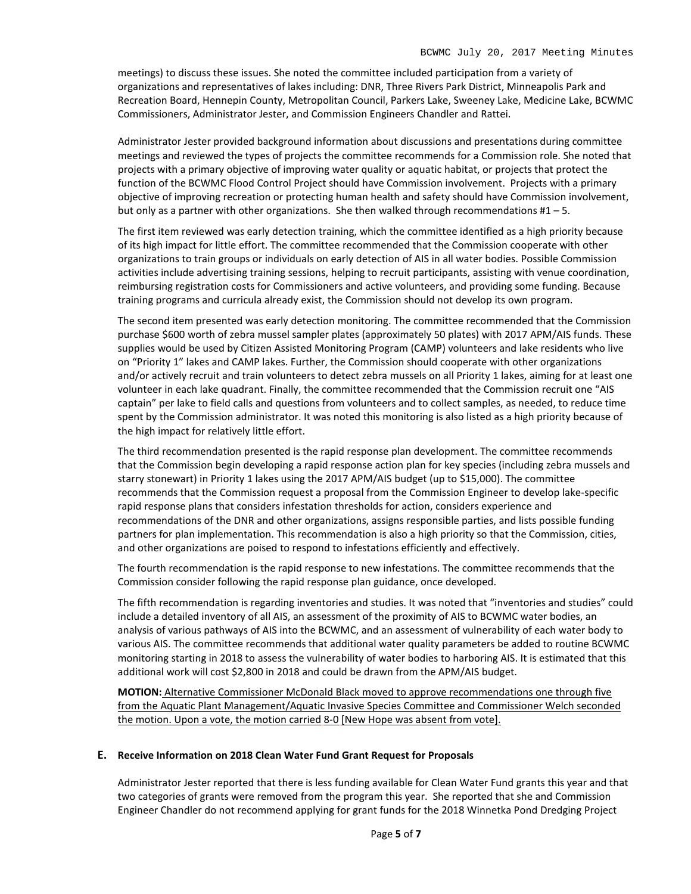meetings) to discuss these issues. She noted the committee included participation from a variety of organizations and representatives of lakes including: DNR, Three Rivers Park District, Minneapolis Park and Recreation Board, Hennepin County, Metropolitan Council, Parkers Lake, Sweeney Lake, Medicine Lake, BCWMC Commissioners, Administrator Jester, and Commission Engineers Chandler and Rattei.

Administrator Jester provided background information about discussions and presentations during committee meetings and reviewed the types of projects the committee recommends for a Commission role. She noted that projects with a primary objective of improving water quality or aquatic habitat, or projects that protect the function of the BCWMC Flood Control Project should have Commission involvement. Projects with a primary objective of improving recreation or protecting human health and safety should have Commission involvement, but only as a partner with other organizations. She then walked through recommendations  $#1 - 5$ .

The first item reviewed was early detection training, which the committee identified as a high priority because of its high impact for little effort. The committee recommended that the Commission cooperate with other organizations to train groups or individuals on early detection of AIS in all water bodies. Possible Commission activities include advertising training sessions, helping to recruit participants, assisting with venue coordination, reimbursing registration costs for Commissioners and active volunteers, and providing some funding. Because training programs and curricula already exist, the Commission should not develop its own program.

The second item presented was early detection monitoring. The committee recommended that the Commission purchase \$600 worth of zebra mussel sampler plates (approximately 50 plates) with 2017 APM/AIS funds. These supplies would be used by Citizen Assisted Monitoring Program (CAMP) volunteers and lake residents who live on "Priority 1" lakes and CAMP lakes. Further, the Commission should cooperate with other organizations and/or actively recruit and train volunteers to detect zebra mussels on all Priority 1 lakes, aiming for at least one volunteer in each lake quadrant. Finally, the committee recommended that the Commission recruit one "AIS captain" per lake to field calls and questions from volunteers and to collect samples, as needed, to reduce time spent by the Commission administrator. It was noted this monitoring is also listed as a high priority because of the high impact for relatively little effort.

The third recommendation presented is the rapid response plan development. The committee recommends that the Commission begin developing a rapid response action plan for key species (including zebra mussels and starry stonewart) in Priority 1 lakes using the 2017 APM/AIS budget (up to \$15,000). The committee recommends that the Commission request a proposal from the Commission Engineer to develop lake-specific rapid response plans that considers infestation thresholds for action, considers experience and recommendations of the DNR and other organizations, assigns responsible parties, and lists possible funding partners for plan implementation. This recommendation is also a high priority so that the Commission, cities, and other organizations are poised to respond to infestations efficiently and effectively.

The fourth recommendation is the rapid response to new infestations. The committee recommends that the Commission consider following the rapid response plan guidance, once developed.

The fifth recommendation is regarding inventories and studies. It was noted that "inventories and studies" could include a detailed inventory of all AIS, an assessment of the proximity of AIS to BCWMC water bodies, an analysis of various pathways of AIS into the BCWMC, and an assessment of vulnerability of each water body to various AIS. The committee recommends that additional water quality parameters be added to routine BCWMC monitoring starting in 2018 to assess the vulnerability of water bodies to harboring AIS. It is estimated that this additional work will cost \$2,800 in 2018 and could be drawn from the APM/AIS budget.

**MOTION:** Alternative Commissioner McDonald Black moved to approve recommendations one through five from the Aquatic Plant Management/Aquatic Invasive Species Committee and Commissioner Welch seconded the motion. Upon a vote, the motion carried 8-0 [New Hope was absent from vote].

#### **E. Receive Information on 2018 Clean Water Fund Grant Request for Proposals**

Administrator Jester reported that there is less funding available for Clean Water Fund grants this year and that two categories of grants were removed from the program this year. She reported that she and Commission Engineer Chandler do not recommend applying for grant funds for the 2018 Winnetka Pond Dredging Project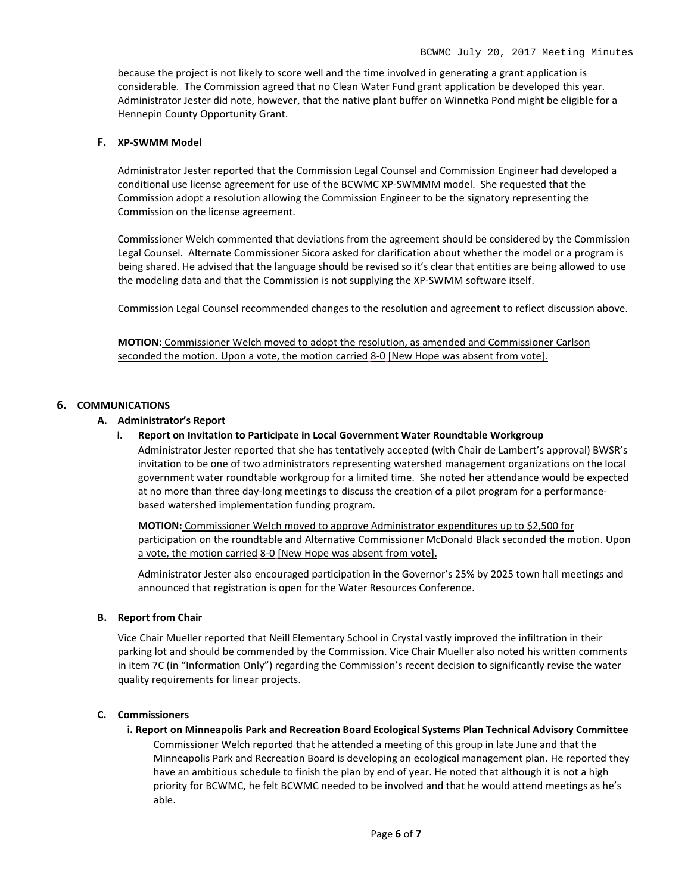because the project is not likely to score well and the time involved in generating a grant application is considerable. The Commission agreed that no Clean Water Fund grant application be developed this year. Administrator Jester did note, however, that the native plant buffer on Winnetka Pond might be eligible for a Hennepin County Opportunity Grant.

#### **F. XP-SWMM Model**

Administrator Jester reported that the Commission Legal Counsel and Commission Engineer had developed a conditional use license agreement for use of the BCWMC XP-SWMMM model. She requested that the Commission adopt a resolution allowing the Commission Engineer to be the signatory representing the Commission on the license agreement.

Commissioner Welch commented that deviations from the agreement should be considered by the Commission Legal Counsel. Alternate Commissioner Sicora asked for clarification about whether the model or a program is being shared. He advised that the language should be revised so it's clear that entities are being allowed to use the modeling data and that the Commission is not supplying the XP-SWMM software itself.

Commission Legal Counsel recommended changes to the resolution and agreement to reflect discussion above.

**MOTION:** Commissioner Welch moved to adopt the resolution, as amended and Commissioner Carlson seconded the motion. Upon a vote, the motion carried 8-0 [New Hope was absent from vote].

### **6. COMMUNICATIONS**

#### **A. Administrator's Report**

**i. Report on Invitation to Participate in Local Government Water Roundtable Workgroup**

Administrator Jester reported that she has tentatively accepted (with Chair de Lambert's approval) BWSR's invitation to be one of two administrators representing watershed management organizations on the local government water roundtable workgroup for a limited time. She noted her attendance would be expected at no more than three day-long meetings to discuss the creation of a pilot program for a performancebased watershed implementation funding program.

**MOTION:** Commissioner Welch moved to approve Administrator expenditures up to \$2,500 for participation on the roundtable and Alternative Commissioner McDonald Black seconded the motion. Upon a vote, the motion carried 8-0 [New Hope was absent from vote].

Administrator Jester also encouraged participation in the Governor's 25% by 2025 town hall meetings and announced that registration is open for the Water Resources Conference.

#### **B. Report from Chair**

Vice Chair Mueller reported that Neill Elementary School in Crystal vastly improved the infiltration in their parking lot and should be commended by the Commission. Vice Chair Mueller also noted his written comments in item 7C (in "Information Only") regarding the Commission's recent decision to significantly revise the water quality requirements for linear projects.

#### **C. Commissioners**

**i. Report on Minneapolis Park and Recreation Board Ecological Systems Plan Technical Advisory Committee**

Commissioner Welch reported that he attended a meeting of this group in late June and that the Minneapolis Park and Recreation Board is developing an ecological management plan. He reported they have an ambitious schedule to finish the plan by end of year. He noted that although it is not a high priority for BCWMC, he felt BCWMC needed to be involved and that he would attend meetings as he's able.